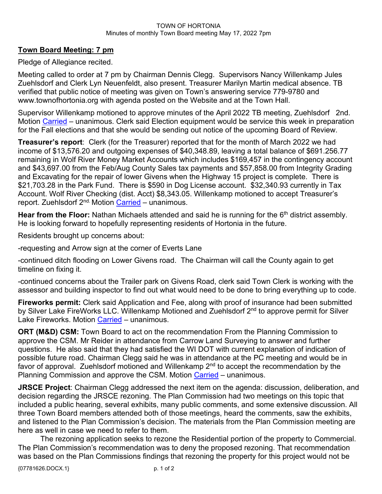## TOWN OF HORTONIA Minutes of monthly Town Board meeting May 17, 2022 7pm

## **Town Board Meeting: 7 pm**

Pledge of Allegiance recited.

Meeting called to order at 7 pm by Chairman Dennis Clegg. Supervisors Nancy Willenkamp Jules Zuehlsdorf and Clerk Lyn Neuenfeldt, also present. Treasurer Marilyn Martin medical absence. TB verified that public notice of meeting was given on Town's answering service 779-9780 and www.townofhortonia.org with agenda posted on the Website and at the Town Hall.

Supervisor Willenkamp motioned to approve minutes of the April 2022 TB meeting, Zuehlsdorf 2nd. Motion Carried – unanimous. Clerk said Election equipment would be service this week in preparation for the Fall elections and that she would be sending out notice of the upcoming Board of Review.

**Treasurer's report**: Clerk (for the Treasurer) reported that for the month of March 2022 we had income of \$13,576.20 and outgoing expenses of \$40,348.89, leaving a total balance of \$691.256.77 remaining in Wolf River Money Market Accounts which includes \$169,457 in the contingency account and \$43,697.00 from the Feb/Aug County Sales tax payments and \$57,858.00 from Integrity Grading and Excavating for the repair of lower Givens when the Highway 15 project is complete. There is \$21,703.28 in the Park Fund. There is \$590 in Dog License account. \$32,340.93 currently in Tax Account. Wolf River Checking (dist. Acct) \$8,343.05. Willenkamp motioned to accept Treasurer's report. Zuehlsdorf 2<sup>nd.</sup> Motion Carried – unanimous.

**Hear from the Floor:** Nathan Michaels attended and said he is running for the 6<sup>th</sup> district assembly. He is looking forward to hopefully representing residents of Hortonia in the future.

Residents brought up concerns about:

-requesting and Arrow sign at the corner of Everts Lane

-continued ditch flooding on Lower Givens road. The Chairman will call the County again to get timeline on fixing it.

-continued concerns about the Trailer park on Givens Road, clerk said Town Clerk is working with the assessor and building inspector to find out what would need to be done to bring everything up to code.

**Fireworks permit:** Clerk said Application and Fee, along with proof of insurance had been submitted by Silver Lake FireWorks LLC. Willenkamp Motioned and Zuehlsdorf 2<sup>nd</sup> to approve permit for Silver Lake Fireworks. Motion Carried - unanimous.

**ORT (M&D) CSM:** Town Board to act on the recommendation From the Planning Commission to approve the CSM. Mr Reider in attendance from Carrow Land Surveying to answer and further questions. He also said that they had satisfied the WI DOT with current explanation of indication of possible future road. Chairman Clegg said he was in attendance at the PC meeting and would be in favor of approval. Zuehlsdorf motioned and Willenkamp  $2<sup>nd</sup>$  to accept the recommendation by the Planning Commission and approve the CSM. Motion Carried – unanimous.

**JRSCE Project**: Chairman Clegg addressed the next item on the agenda: discussion, deliberation, and decision regarding the JRSCE rezoning. The Plan Commission had two meetings on this topic that included a public hearing, several exhibits, many public comments, and some extensive discussion. All three Town Board members attended both of those meetings, heard the comments, saw the exhibits, and listened to the Plan Commission's decision. The materials from the Plan Commission meeting are here as well in case we need to refer to them.

The rezoning application seeks to rezone the Residential portion of the property to Commercial. The Plan Commission's recommendation was to deny the proposed rezoning. That recommendation was based on the Plan Commissions findings that rezoning the property for this project would not be